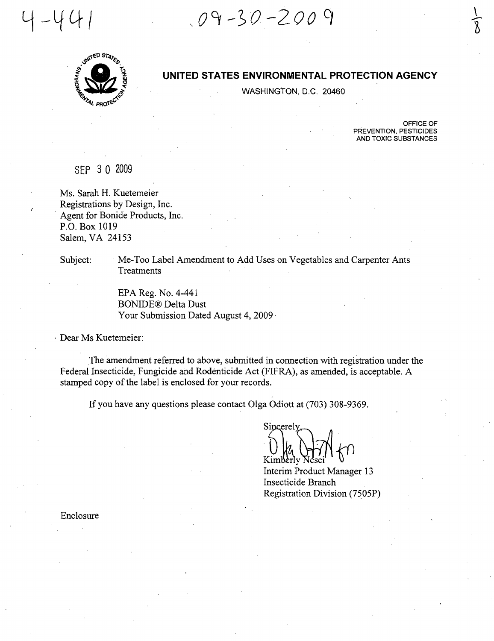~ O~ -~·O *-200 q* 



 $-44$ 

# **UNITED STATES ENVIRONMENTAL PROTECTION AGENCY**

WASHINGTON, D.C. 20460

OFFICE OF PREVENTION, PESTICIDES AND TOXIC SUBSTANCES

 $\bar{ \}$  $\sqrt{8}$ 

SEP 3 0 2009

Ms. Sarah H. Kuetemeier Registrations by Design, Inc. . Agent for Bonide Products, Inc. P.O. Box 1019 Salem, VA 24153

Subject: Me-Too Label Amendment to Add Uses on Vegetables and Carpenter Ants **Treatments** 

> EPA Reg. No. 4-441 BONIDE® Delta Dust Your Submission Dated August 4, 2009

. Dear Ms Kuetemeier:

The amendment referred to above, submitted in connection with registration under the Federal Insecticide, Fungicide and Rodenticide Act (FIFRA), as amended, is acceptable. A stamped copy of the label is enclosed for your records.

If you have any questions please contact Olga Odiott at (703) 308-9369.

Sincerely Kimberly

Interim Product Manager 13 Insecticide Branch Registration Division (7505P)

Enclosure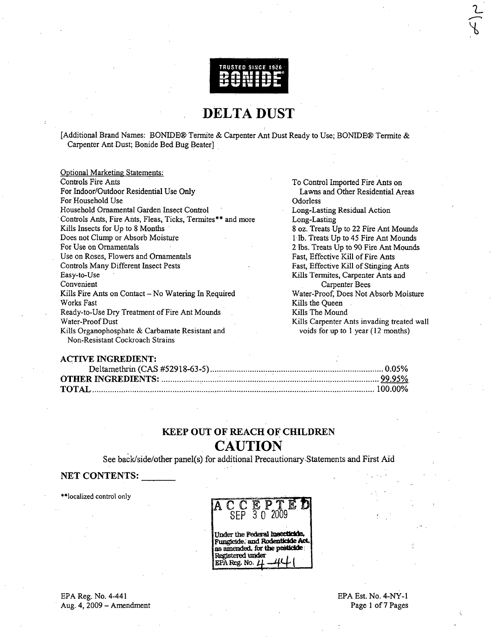

# DELTA DUST

[Additional Brand Names: BONIDE® Termite & Carpenter Ant Dust Ready to Use; BONIDE® Termite & Carpenter Ant Dust; Bonide Bed Bug Beater] .

| <b>Optional Marketing Statements:</b>                       |                                            |  |  |
|-------------------------------------------------------------|--------------------------------------------|--|--|
| Controls Fire Ants                                          | To Control Imported Fire Ants on           |  |  |
| For Indoor/Outdoor Residential Use Only                     | Lawns and Other Residential Areas          |  |  |
| For Household Use                                           | Odorless                                   |  |  |
| Household Ornamental Garden Insect Control                  | Long-Lasting Residual Action               |  |  |
| Controls Ants, Fire Ants, Fleas, Ticks, Termites** and more | Long-Lasting                               |  |  |
| Kills Insects for Up to 8 Months                            | 8 oz. Treats Up to 22 Fire Ant Mounds      |  |  |
| Does not Clump or Absorb Moisture                           | 1 lb. Treats Up to 45 Fire Ant Mounds      |  |  |
| For Use on Ornamentals                                      | 2 lbs. Treats Up to 90 Fire Ant Mounds     |  |  |
| Use on Roses, Flowers and Ornamentals                       | Fast, Effective Kill of Fire Ants          |  |  |
| Controls Many Different Insect Pests                        | Fast, Effective Kill of Stinging Ants      |  |  |
| Easy-to-Use                                                 | Kills Termites, Carpenter Ants and         |  |  |
| Convenient                                                  | Carpenter Bees                             |  |  |
| Kills Fire Ants on Contact - No Watering In Required        | Water-Proof, Does Not Absorb Moisture      |  |  |
| Works Fast                                                  | Kills the Queen                            |  |  |
| Ready-to-Use Dry Treatment of Fire Ant Mounds               | Kills The Mound                            |  |  |
| Water-Proof Dust                                            | Kills Carpenter Ants invading treated wall |  |  |
| Kills Organophosphate & Carbamate Resistant and             | voids for up to 1 year (12 months)         |  |  |
| Non-Resistant Cockroach Strains                             |                                            |  |  |

#### ACTIVE INGREDIENT:

# KEEP OUT OF REACH OF CHILDREN **CAUTION**

See back/side/other panel(s) for additional Precautionary,Statements and First Aid

## NET CONTENTS:

\*\*Iocalized control only

ACCEPT SEP 3 0 2009

Under the Federal insecticide. Fungicide, and Rodenticide Act.<br>as amended, for the pesticide Registered under EPA Reg. No. j

EPA Reg. No. 4-441 Aug. 4, 2009 - Amendment

### EPA Est. No. 4-NY-l Page 1 of 7 Pages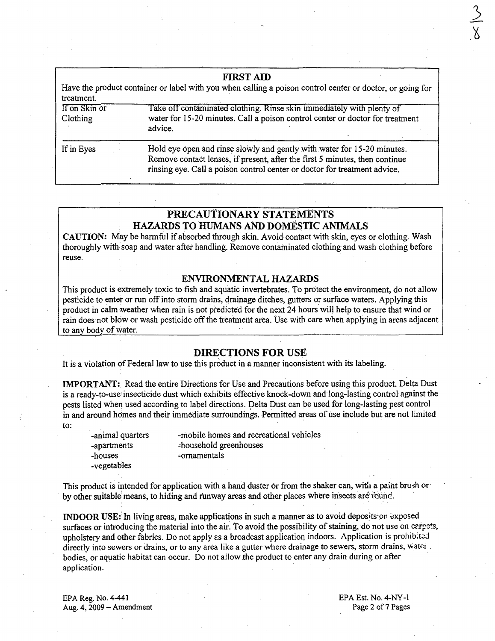| <b>FIRST AID</b><br>Have the product container or label with you when calling a poison control center or doctor, or going for<br>treatment. |                                                                                                                                                                                                                                     |  |  |
|---------------------------------------------------------------------------------------------------------------------------------------------|-------------------------------------------------------------------------------------------------------------------------------------------------------------------------------------------------------------------------------------|--|--|
| If on Skin or<br>Clothing                                                                                                                   | Take off contaminated clothing. Rinse skin immediately with plenty of<br>water for 15-20 minutes. Call a poison control center or doctor for treatment<br>advice.                                                                   |  |  |
| If in Eyes                                                                                                                                  | Hold eye open and rinse slowly and gently with water for 15-20 minutes.<br>Remove contact lenses, if present, after the first 5 minutes, then continue<br>rinsing eye. Call a poison control center or doctor for treatment advice. |  |  |

# **PRECAUTIONARY STATEMENTS HAZARDS TO HUMANS AND DOMESTIC ANIMALS**

**CAUTION:** May be harmful if absorbed through skin. Avoid contact with skin, eyes or clothing. Wash thoroughly with, soap and water after handling. Remove contaminated clothing and wash clothing before reuse.

## **ENVIRONMENTAL HAZARDS**

This product is extremely toxic to fish and aquatic invertebrates. To protect the environment, do not allow pesticide to enter or run off into storm drains, drainage ditches, gutters or surface waters. Applying this product in calm weather when rain is not predicted for the next 24 hours will help to ensure that wind or rain does not blow or wash pesticide off the treatment area. Use with care when applying in areas adjacent to any body of water.

### **DIRECTIONS FOR USE**

It is a violation of Federal law to use this product in a manner inconsistent with its labeling.

**IMPORTANT:** Read the entire Directions for Use and Precautions before using this product. Delta Dust is a ready-to-use' insecticide dust which exhibits effective knock-down and long-lasting control against the pests listed when used according to label directions. Delta Dust can be used for long-lasting pest control in and around homes and their immediate surroundings. Permitted areas of use include but are not limited to:

. -animal quarters -apartments -houses -vegetables

-mobile homes and recreational vehicles .;.household greenhouses -ornamentals

This product is intended for application with a hand duster or from the shaker can, with a paint brush or by other suitable means, to hiding and runway areas and other places where insects are round.

**INDOOR USE:** In living areas, make applications in such a manner as to avoid deposits on exposed surfaces or introducing the material into the air. To avoid the possibility of staining, do not use on carpets, upholstery and other fabrics. Do not apply as a broadcast application indoors. Application is prohibited directly into sewers or drains, or to any area like a gutter where drainage to sewers, storm drains, water bodies, or aquatic habitat can occur. Do not allow the product to enter any drain during or after application.

EPA Reg. No. 4-441 Aug.  $4, 2009 -$  Amendment EPA Est. No. 4-NY-1 Page 2 of 7 Pages  $\frac{5}{9}$ .'6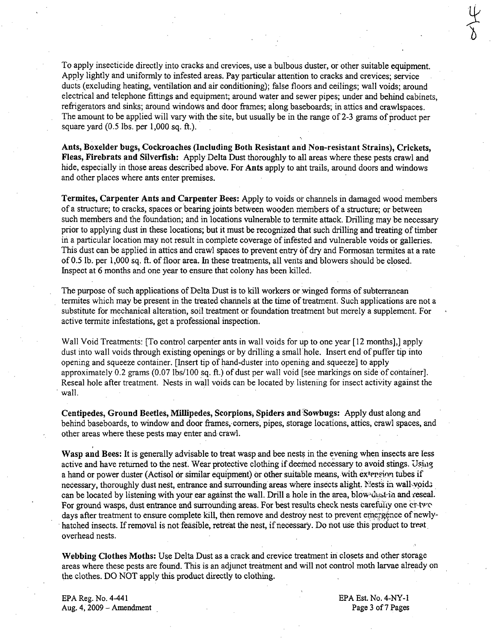To apply insecticide directly into cracks and crevices, use a bulbous duster, or other suitable equipment. Apply lightly and uniformly to infested areas. Pay particular attention to cracks and crevices; service ducts (excluding heating, ventilation and air conditioning); false floors and ceilings; wall voids; around electrical and telephone fittings and equipment; around water and sewer pipes; under and behind cabinets, refrigerators and sinks; around windows and door frames; along baseboards; in attics and crawlspaces. The amount to be applied will vary with the site, but usually be in the range of 2-3 grams of product per square yard  $(0.5$  lbs. per 1,000 sq. ft.).

Ants, Boxelder bugs, Cockroaches (Including Both Resistant and Non-resistant Strains), Crickets, Fleas, Firebrats and Silverfish: Apply Delta Dust thoroughly to all areas where these pests crawl and hide, especially in those areas described above. For Ants apply to aht trails, around doors and windows and other places where ants enter premises.

Termites, Carpenter Ants and Carpenter Bees: Apply to voids or channels in damaged wood members of a structure; to cracks, spaces or 'bearing joints between wooden members of a structure; or between such members and the foundation; and in locations vulnerable to termite attack. Drilling may be necessary prior to applying dust in these locations; but it must be recognized that such drilling and treating of timber in a particular location may not result in complete coverage of infested and vulnerable voids or galleries. This dust can be applied in attics and crawl spaces to prevent entry of dry and Formosan termites at a rate of 0.5 lb. per 1,000 sq. ft. of floor area. In these treatments, all vents and blowers should be closed. Inspect at 6 months and one year to ensure that colony has been killed.

The purpose of such applications of Delta Dust is to kill workers or winged forms of subterranean termites which may be present in the treated channels at the time of treatment. Such applications are not a substitute for mechanical alteration, soil treatment or foundation treatment but merely a supplement. For active termite infestations, get a professional inspection.

Wall Void Treatments: [To control carpenter ants in wall voids for up to one year [12 months],] apply dust into wall voids through existing openings or by drilling a small' hole. Insert end of puffer tip into opening and squeeze container. [Insert tip of hand-duster into opening and squeeze] to apply approximately 0.2 grams (0.07 Ibs/l00 sq. ft.) of dust per wall void [see markings on side of container]. Reseal hole after treatment. Nests in wall voids can be located by listening for insect activity against the . wall.

Centipedes, Ground Beetles, Millipedes, Scorpions; Spiders and :Sowbugs: Apply dust along and behind baseboards, to window and door frames, corners, pipes, storage locations, attics, crawl spaces, and other areas where these pests may enter and crawl.

Wasp and Bees: It is generally advisable to treat wasp and bee nests in the evening when insects are less active and have returned to the nest. Wear protective clothing if deemed necessary to avoid stings. Using a hand or power duster (Actisol or similar equipment) or other suitable means, with extension tubes if necessary, thoroughly dust nest, entrance and surrounding areas where insects alight. Nests in wall-yoids can be located by listening with your ear against the wall. Drill a hole in the area, blow dust in and reseal. For ground wasps, dust entrance and surrounding areas. For best results check nests carefully one cr-tv $\circ$ days after treatment to ensure complete kill, then remove and destroy nest to prevent emergence of newlyhatched insects. If removal is not feasible, retreat the nest, if necessary. Do not use this product to treat. overhead nests.

Webbing Clothes Moths: Use Delta Dust as a crack and crevice treatment in closets and other storage areas where these pests are found. This is an adjunct treatment and will not control moth larvae already on the clothes. DO NOT apply this product directly to clothing.

EPA Reg. No. 4-441 Aug. 4, 2009 - Amendment EPA Est. No. 4-NY-l Page 3 of 7 Pages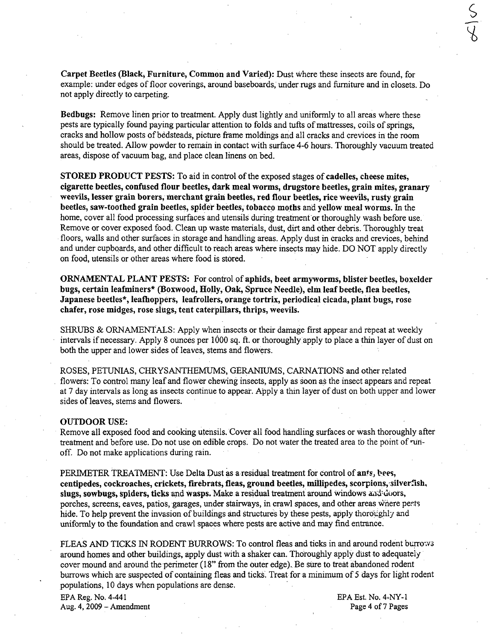Carpet Beetles (Black; Furniture, Common and Varied): Dust where these insects are found, for example: under edges of floor coverings, around baseboards, under rugs and furniture and in closets. Do not apply directly to carpeting.

Bedbugs: Remove linen prior to treatment. Apply dust lightly and uniformly to all areas where these pests are typically found paying particular attention to folds and tufts of mattresses, coils of springs, cracks and hollow posts of bedsteads, picture frame moldings and all cracks and crevices in the room should be treated. Allow powder to remain in contact with surface 4-6 hours. Thoroughly vacuum treated areas, dispose of vacuum bag, and place clean linens on bed.

STORED PRODUCT PESTS: To aid in control of the exposed stages of cadelles, cheese mites, cigarette beetles, confused flour beetles, dark meal worms, drugstore beetles, grain mites, granary weevils, lesser grain borers, merchant grain beetles, red flour beetles, rice weevils, rusty grain beetles, saw-toothed grain beetles, spider beetles, tobacco moths and yellow meal worms. In the home, cover all food processing surfaces and utensils during treatment or thoroughly wash before use. Remove or cover exposed food. Clean up waste materials, dust, dirt and other debris. Thoroughly treat floors, walls and other surfaces in storage and handling areas. Apply dust in cracks and crevices, behind and under cupboards, and other difficult to reach areas where insects may hide. DO NOT apply directly on food, utensils or other areas where food is stored.

ORNAMENTAL PLANT PESTS: For control of aphids, beet armyworms, blister beetles, boxelder bugs, certain leafminers\* (Boxwood, Holly, Oak, Spruce Needle), elm leaf beetle, flea beetles, Japanese beetles\*, leafhoppers, leafrollers, orange tortrix, periodical cicada, plant bugs, rose chafer, rose midges, rose slugs, tent caterpillars, thrips, weevils.

SHRUBS & ORNAMENTALS: Apply when insects or their damage first appear and repeat at weekly intervals if necessary. Apply 8 ounces per 1000 sq. ft. or thoroughly apply to place a thin layer of dust on both the upper and lower sides of leaves, stems and flowers.

ROSES, PETUNIAS, CHRYSANTHEMUMS, GERANIUMS, CARNATIONS and other related flowers: To control many leaf and flower chewing insects, apply as soon as the insect appears and repeat at 7 day intervals as long as insects continue to appear. Apply a thin layer of dust on both upper and lower sides of leaves, stems and flowers.

#### OUTDOOR USE:

Remove all exposed food and cooking utensils. Cover all food handling surfaces or wash thoroughly after treatment and before use. Do not use on edible crops. Do not water the treated area to the point of runoff. Do not make applications during rain.

PERIMETER TREATMENT: Use Delta Dust as a residual treatment for control of ants, bees, centipedes, cockroaches, crickets, firebrats, fleas, ground beetles, millipedes, scorpions, silverfish, slugs, sowbugs, spiders, ticks and wasps. Make a residual treatment around windows and doors, porches, screens; eaves, patios, garages, under stairways, in crawl spaces, and other areas where pests hide. To help prevent the invasion of buildings and structures by these pests, apply thoroughly and uniformly to the foundation and crawl spaces where pests are active and may find entrance.

FLEAS AND TICKS IN RODENT BURROWS: To control fleas and ticks in and around rodent burrows around homes and other buildings, apply dust with a shaker can. Thoroughly apply dust to adequately cover mound and around the perimeter (18" from the outer edge). Be sure to treat abandoned rodent burrows which are suspected of containing fleas and ticks. Treat for a minimum of 5 days for light rodent populations, 10 days when populations are dense. .

EPA Reg. No. 4-441 EPA Est. No. 4-NY-l Aug. 4, 2009 - Amendment Page 4 of 7 Pages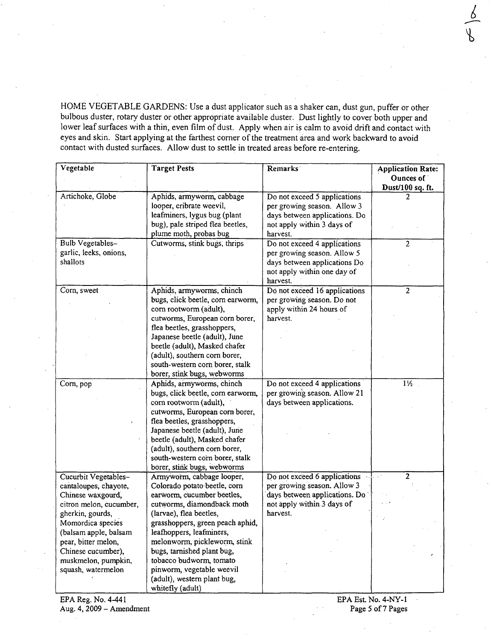HOME VEGETABLE GARDENS: Use a dust applicator such as a shaker can, dust gun, puffer or other bulbous duster, rotary duster or other appropriate available duster. Dust lightly to cover both upper and lower leaf surfaces with a thin, even film of dust. Apply when air is calm to avoid drift and contact with eyes and skin. Start applying at the farthest comer of the treatment area and work backward to avoid contact with dusted surfaces. Allow dust to settle in treated areas before re-entering.

| Vegetable                                                                                                                                                                                                                                                 | <b>Target Pests</b>                                                                                                                                                                                                                                                                                                                                                                       | <b>Remarks</b>                                                                                                                                     | <b>Application Rate:</b><br>Ounces of<br>Dust/100 sq. ft. |
|-----------------------------------------------------------------------------------------------------------------------------------------------------------------------------------------------------------------------------------------------------------|-------------------------------------------------------------------------------------------------------------------------------------------------------------------------------------------------------------------------------------------------------------------------------------------------------------------------------------------------------------------------------------------|----------------------------------------------------------------------------------------------------------------------------------------------------|-----------------------------------------------------------|
| Artichoke, Globe                                                                                                                                                                                                                                          | Aphids, armyworm, cabbage<br>looper, cribrate weevil,<br>leafminers, lygus bug (plant<br>bug), pale striped flea beetles,                                                                                                                                                                                                                                                                 | Do not exceed 5 applications<br>per growing season. Allow 3<br>days between applications. Do<br>not apply within 3 days of                         | 2                                                         |
| Bulb Vegetables-<br>garlic, leeks, onions,<br>shallots                                                                                                                                                                                                    | plume moth, probas bug<br>Cutworms, stink bugs, thrips                                                                                                                                                                                                                                                                                                                                    | harvest.<br>Do not exceed 4 applications<br>per growing season. Allow 5<br>days between applications Do<br>not apply within one day of<br>harvest. | $\overline{c}$                                            |
| Corn, sweet                                                                                                                                                                                                                                               | Aphids, armyworms, chinch<br>bugs, click beetle, corn earworm,<br>corn rootworm (adult),<br>cutworms, European corn borer,<br>flea beetles, grasshoppers,<br>Japanese beetle (adult), June<br>beetle (adult), Masked chafer<br>(adult), southern corn borer,<br>south-western corn borer, stalk<br>borer, stink bugs, webworms                                                            | Do not exceed 16 applications<br>per growing season. Do not<br>apply within 24 hours of<br>harvest.                                                | $\overline{c}$                                            |
| Corn, pop                                                                                                                                                                                                                                                 | Aphids, armyworms, chinch<br>bugs, click beetle, corn earworm,<br>corn rootworm (adult),<br>cutworms, European corn borer,<br>flea beetles, grasshoppers,<br>Japanese beetle (adult), June<br>beetle (adult), Masked chafer<br>(adult), southern corn borer,<br>south-western corn borer, stalk<br>borer, stink bugs, webworms                                                            | Do not exceed 4 applications<br>per growing season. Allow 21<br>days between applications.                                                         | $1\frac{1}{2}$                                            |
| Cucurbit Vegetables-<br>cantaloupes, chayote,<br>Chinese waxgourd,<br>citron melon, cucumber,<br>gherkin, gourds,<br>Momordica species<br>(balsam apple, balsam<br>pear, bitter melon,<br>Chinese cucumber),<br>muskmelon, pumpkin,<br>squash, watermelon | Armyworm, cabbage looper,<br>Colorado potato beetle, corn<br>earworm, cucumber beetles,<br>cutworms, diamondback moth<br>(larvae), flea beetles,<br>grasshoppers, green peach aphid,<br>leafhoppers, leafminers,<br>melonworm, pickleworm, stink<br>bugs, tarnished plant bug,<br>tobacco budworm, tomato<br>pinworm, vegetable weevil<br>(adult), western plant bug,<br>whitefly (adult) | Do not exceed 6 applications<br>per growing season. Allow 3<br>days between applications. Do<br>not apply within 3 days of<br>harvest.             | $\mathbf{2}$<br>$\epsilon \rightarrow \gamma$             |

 $\frac{1}{2}$  $\sqrt{ }$  $\mathcal{P}$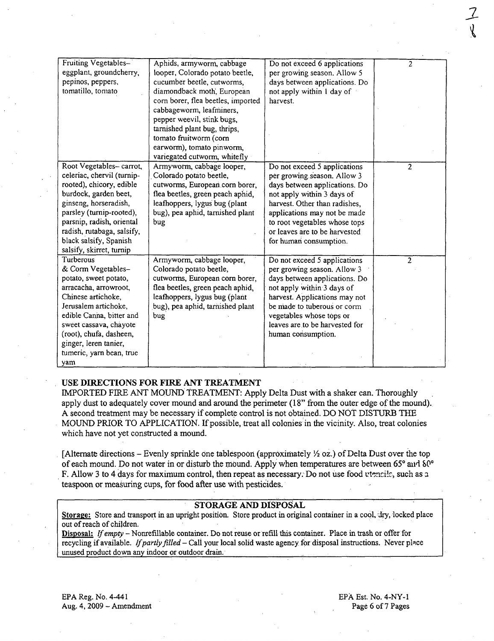| Fruiting Vegetables-       | Aphids, armyworm, cabbage          | Do not exceed 6 applications   | $\overline{c}$ |
|----------------------------|------------------------------------|--------------------------------|----------------|
| eggplant, groundcherry,    | looper, Colorado potato beetle,    | per growing season. Allow 5    |                |
| pepinos, peppers,          | cucumber beetle, cutworms,         | days between applications. Do  |                |
| tomatillo, tomato          | diamondback moth, European         | not apply within 1 day of      |                |
|                            | corn borer, flea beetles, imported | harvest.                       |                |
|                            | cabbageworm, leafminers,           |                                |                |
|                            | pepper weevil, stink bugs,         |                                |                |
|                            | tarnished plant bug, thrips,       |                                |                |
|                            | tomato fruitworm (corn             |                                |                |
|                            | earworm), tomato pinworm,          |                                |                |
|                            | variegated cutworm, whitefly       |                                |                |
| Root Vegetables-carrot,    | Armyworm, cabbage looper,          | Do not exceed 5 applications   | $\overline{2}$ |
| celeriac, chervil (turnip- | Colorado potato beetle,            | per growing season. Allow 3    |                |
| rooted), chicory, edible   | cutworms, European.corn borer,     | days between applications. Do  |                |
| burdock, garden beet,      | flea beetles, green peach aphid,   | not apply within 3 days of     |                |
| ginseng, horseradish,      | leafhoppers, lygus bug (plant      | harvest. Other than radishes,  |                |
| parsley (turnip-rooted),   | bug), pea aphid, tarnished plant   | applications may not be made   |                |
| parsnip, radish, oriental  | bug                                | to root vegetables whose tops  |                |
| radish, rutabaga, salsify, |                                    | or leaves are to be harvested  |                |
| black salsify, Spanish     |                                    | for human consumption.         |                |
| salsify, skirret, turnip   |                                    |                                |                |
| Turberous                  | Armyworm, cabbage looper,          | Do not exceed 5 applications   | $\overline{c}$ |
| & Corm Vegetables-         | Colorado potato beetle,            | per growing season. Allow 3    |                |
| potato, sweet potato,      | cutworms, European corn borer,     | days between applications. Do  |                |
| arracacha, arrowroot,      | flea beetles, green peach aphid,   | not apply within 3 days of     |                |
| Chinese artichoke,         | leafhoppers, lygus bug (plant      | harvest. Applications may not  |                |
| Jerusalem artichoke.       | bug), pea aphid, tarnished plant   | be made to tuberous or corm    |                |
| edible Canna, bitter and   | bug                                | vegetables whose tops or       |                |
| sweet cassava, chayote     |                                    | leaves are to be harvested for |                |
| (root), chufa, dasheen,    |                                    | human consumption.             |                |
| ginger, leren tanier,      |                                    |                                |                |
| tumeric, yarn bean, true   |                                    |                                |                |
| yam                        |                                    |                                |                |

### USE DIRECTIONS FOR FIRE ANT TREATMENT

IMPORTED FIRE ANT MOUND TREATMENT: Apply Delta Dust with a shaker can. Thoroughly apply dust to adequately cover mound and around the perimeter (18" from the outer edge of the mound). A second treatment may be necessary if complete control is not obtained. DO NOt DISTURB THE MOUND PRIOR TO APPLICATION. If possible, treat all colonies in the vicinity. Also, treat colonies which have not yet constructed a mound.

[Alternate directions – Evenly sprinkle one tablespoon (approximately  $\frac{1}{2}$  oz.) of Delta Dust over the top of each mound. Do not water in or disturb the mound. Apply when temperatures are between 65 $^{\circ}$  and  $\delta$ 0 $^{\circ}$ F. Allow 3 to 4 days for maximum control, then repeat as necessary. Do not use food utencile, such as a teaspoon or measuring cups, for food after use with pesticides.

## STORAGE AND DISPOSAL

Storage: Store and transport in an upright position. Store product in original container in a cool, dry, locked place out of reach of children.

Disposal: If empty - Nonrefillable container. Do not reuse or refill this container. Place in trash or offer for recycling if available. If partly filled - Call your local solid waste agency for disposal instructions. Never place unused product down any indoor or outdoor drain.

EPA Reg. No. 4-441 Aug. 4, 2009 - Amendment EPA Est. No. 4-NY-l Page 6 of 7 Pages